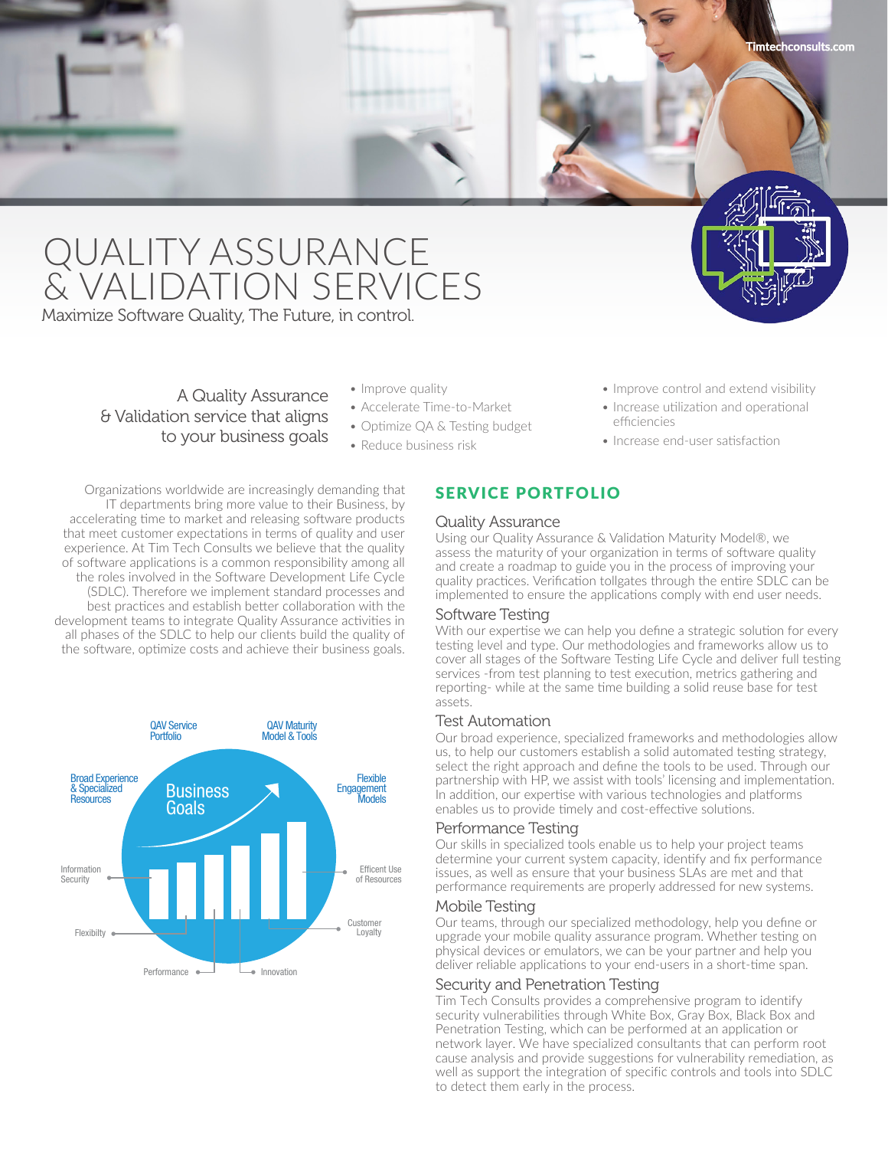

## A Quality Assurance & Validation service that aligns to your business goals

- Improve quality
- Accelerate Time-to-Market
- Optimize QA & Testing budget
- Reduce business risk

Organizations worldwide are increasingly demanding that IT departments bring more value to their Business, by accelerating time to market and releasing software products that meet customer expectations in terms of quality and user experience. At Tim Tech Consults we believe that the quality of software applications is a common responsibility among all the roles involved in the Software Development Life Cycle (SDLC). Therefore we implement standard processes and best practices and establish better collaboration with the development teams to integrate Quality Assurance activities in all phases of the SDLC to help our clients build the quality of the software, optimize costs and achieve their business goals.



# SERVICE PORTFOLIO

### Quality Assurance

Using our Quality Assurance & Validation Maturity Model®, we assess the maturity of your organization in terms of software quality and create a roadmap to guide you in the process of improving your quality practices. Verification tollgates through the entire SDLC can be implemented to ensure the applications comply with end user needs.

efficiencies

• Improve control and extend visibility • Increase utilization and operational

• Increase end-user satisfaction

**Timtechconsults.com**

### Software Testing

With our expertise we can help you define a strategic solution for every testing level and type. Our methodologies and frameworks allow us to cover all stages of the Software Testing Life Cycle and deliver full testing services -from test planning to test execution, metrics gathering and reporting- while at the same time building a solid reuse base for test assets.

### Test Automation

Our broad experience, specialized frameworks and methodologies allow us, to help our customers establish a solid automated testing strategy, select the right approach and define the tools to be used. Through our partnership with HP, we assist with tools' licensing and implementation. In addition, our expertise with various technologies and platforms enables us to provide timely and cost-effective solutions.

## Performance Testing

Our skills in specialized tools enable us to help your project teams determine your current system capacity, identify and fix performance issues, as well as ensure that your business SLAs are met and that performance requirements are properly addressed for new systems.

## Mobile Testing

Our teams, through our specialized methodology, help you define or upgrade your mobile quality assurance program. Whether testing on physical devices or emulators, we can be your partner and help you deliver reliable applications to your end-users in a short-time span.

## Security and Penetration Testing

Tim Tech Consults provides a comprehensive program to identify security vulnerabilities through White Box, Gray Box, Black Box and Penetration Testing, which can be performed at an application or network layer. We have specialized consultants that can perform root cause analysis and provide suggestions for vulnerability remediation, as well as support the integration of specific controls and tools into SDLC to detect them early in the process.